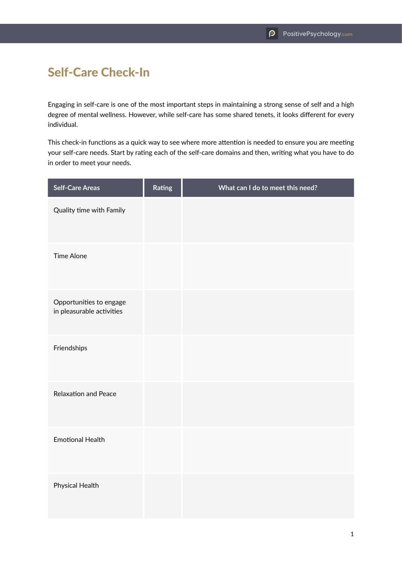## Self-Care Check-In

Engaging in self-care is one of the most important steps in maintaining a strong sense of self and a high degree of mental wellness. However, while self-care has some shared tenets, it looks different for every individual.

This check-in functions as a quick way to see where more attention is needed to ensure you are meeting your self-care needs. Start by rating each of the self-care domains and then, writing what you have to do in order to meet your needs.

| <b>Self-Care Areas</b>                               | Rating | What can I do to meet this need? |
|------------------------------------------------------|--------|----------------------------------|
| Quality time with Family                             |        |                                  |
| <b>Time Alone</b>                                    |        |                                  |
| Opportunities to engage<br>in pleasurable activities |        |                                  |
| Friendships                                          |        |                                  |
| <b>Relaxation and Peace</b>                          |        |                                  |
| <b>Emotional Health</b>                              |        |                                  |
| Physical Health                                      |        |                                  |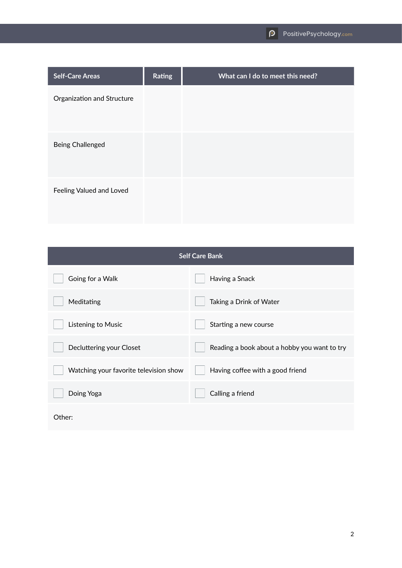| <b>Self-Care Areas</b>     | Rating | What can I do to meet this need? |
|----------------------------|--------|----------------------------------|
| Organization and Structure |        |                                  |
| Being Challenged           |        |                                  |
| Feeling Valued and Loved   |        |                                  |

| <b>Self Care Bank</b>                  |                                              |  |  |
|----------------------------------------|----------------------------------------------|--|--|
| Going for a Walk                       | Having a Snack                               |  |  |
| Meditating                             | Taking a Drink of Water                      |  |  |
| Listening to Music                     | Starting a new course                        |  |  |
| Decluttering your Closet               | Reading a book about a hobby you want to try |  |  |
| Watching your favorite television show | Having coffee with a good friend             |  |  |
| Doing Yoga                             | Calling a friend                             |  |  |
| Other:                                 |                                              |  |  |